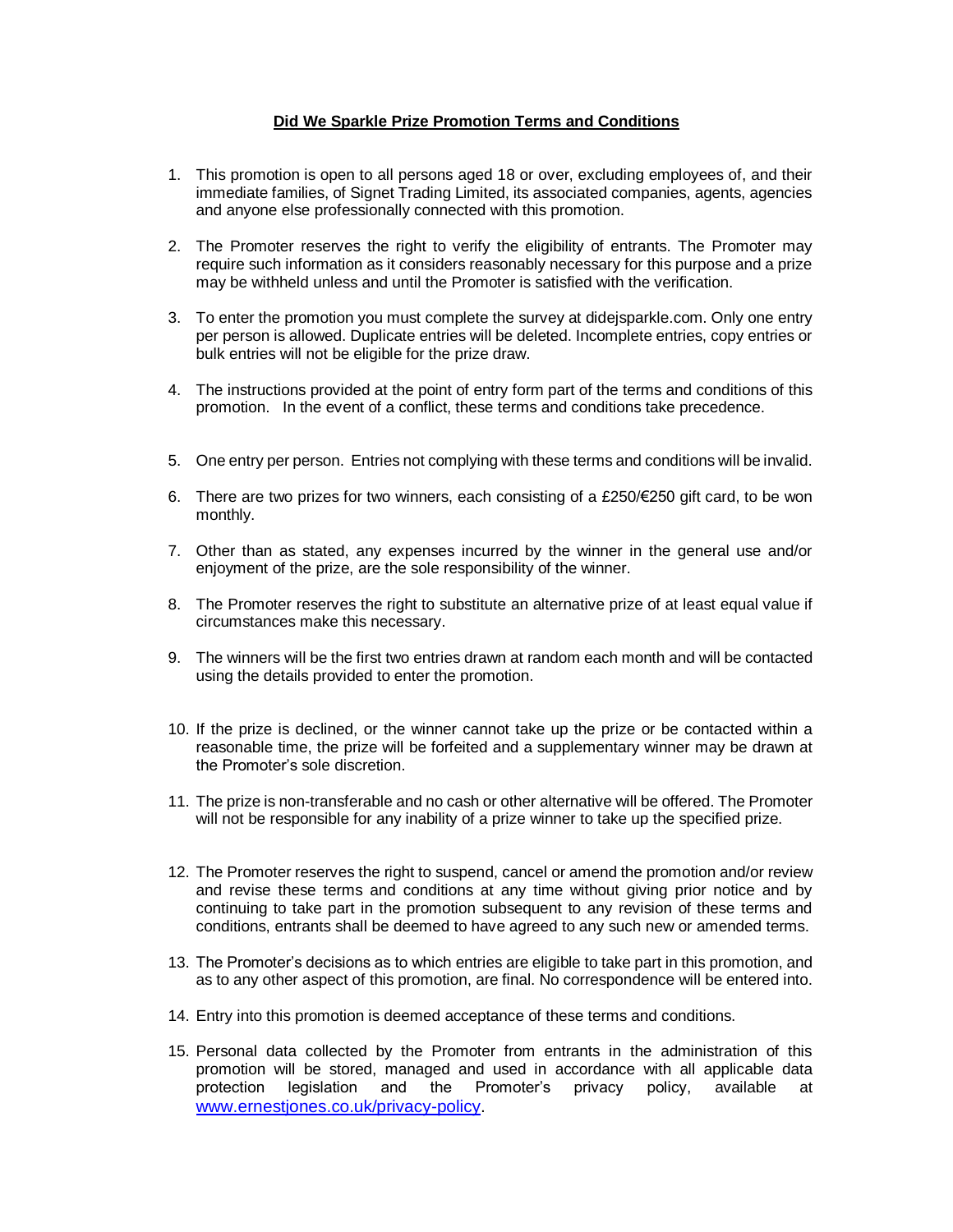## **Did We Sparkle Prize Promotion Terms and Conditions**

- 1. This promotion is open to all persons aged 18 or over, excluding employees of, and their immediate families, of Signet Trading Limited, its associated companies, agents, agencies and anyone else professionally connected with this promotion.
- 2. The Promoter reserves the right to verify the eligibility of entrants. The Promoter may require such information as it considers reasonably necessary for this purpose and a prize may be withheld unless and until the Promoter is satisfied with the verification.
- 3. To enter the promotion you must complete the survey at didejsparkle.com. Only one entry per person is allowed. Duplicate entries will be deleted. Incomplete entries, copy entries or bulk entries will not be eligible for the prize draw.
- 4. The instructions provided at the point of entry form part of the terms and conditions of this promotion. In the event of a conflict, these terms and conditions take precedence.
- 5. One entry per person. Entries not complying with these terms and conditions will be invalid.
- 6. There are two prizes for two winners, each consisting of a £250/ $\epsilon$ 250 gift card, to be won monthly.
- 7. Other than as stated, any expenses incurred by the winner in the general use and/or enjoyment of the prize, are the sole responsibility of the winner.
- 8. The Promoter reserves the right to substitute an alternative prize of at least equal value if circumstances make this necessary.
- 9. The winners will be the first two entries drawn at random each month and will be contacted using the details provided to enter the promotion.
- 10. If the prize is declined, or the winner cannot take up the prize or be contacted within a reasonable time, the prize will be forfeited and a supplementary winner may be drawn at the Promoter's sole discretion.
- 11. The prize is non-transferable and no cash or other alternative will be offered. The Promoter will not be responsible for any inability of a prize winner to take up the specified prize.
- 12. The Promoter reserves the right to suspend, cancel or amend the promotion and/or review and revise these terms and conditions at any time without giving prior notice and by continuing to take part in the promotion subsequent to any revision of these terms and conditions, entrants shall be deemed to have agreed to any such new or amended terms.
- 13. The Promoter's decisions as to which entries are eligible to take part in this promotion, and as to any other aspect of this promotion, are final. No correspondence will be entered into.
- 14. Entry into this promotion is deemed acceptance of these terms and conditions.
- 15. Personal data collected by the Promoter from entrants in the administration of this promotion will be stored, managed and used in accordance with all applicable data protection legislation and the Promoter's privacy policy, available at [www.ernestjones.co.uk/privacy-policy.](http://www.ernestjones.co.uk/privacy-policy)